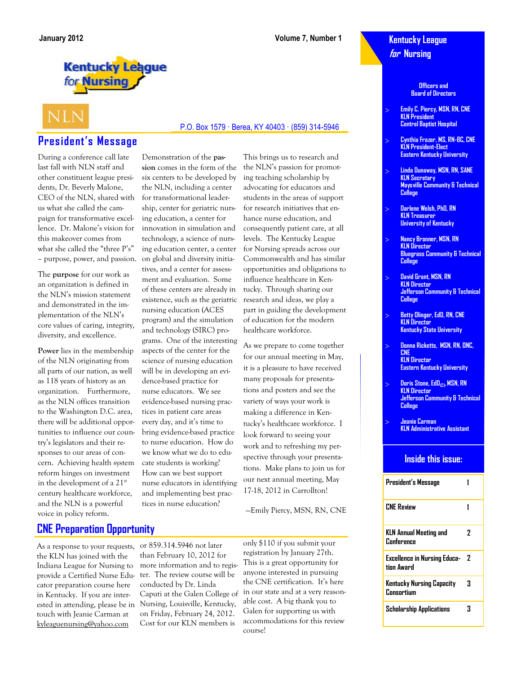### **Kentucky League for Nursing**

**Officers and Board of Directors**

- **Emily C. Piercy, MSN, RN, CNE KLN President Central Baptist Hospital**
- **Cynthia Frazer, MS, RN-BC, CNE KLN President-Elect Eastern Kentucky University**
- **Linda Dunaway, MSN, RN, SANE KLN Secretary Maysville Community & Technical College**
- **Darlene Welsh, PhD, RN KLN Treasurer University of Kentucky**
- **Nancy Bronner, MSN, RN KLN Director Bluegrass Community & Technical College**
- **David Grant, MSN, RN KLN Director Jefferson Community & Technical College**
- **Betty Olinger, EdD, RN, CNE KLN Director Kentucky State University**
- **Donna Ricketts, MSN, RN, ONC, CNE KLN Director Eastern Kentucky University**
- **Doris Stone, EdD(C),MSN, RN KLN Director Jefferson Community & Technical College**
- **Jeanie Carman KLN Administrative Assistant**

#### **Inside this issue:**

| President's Message                               |   |
|---------------------------------------------------|---|
| <b>CNE Review</b>                                 |   |
| KLN Annual Meeting and<br>Conference              | 7 |
| <b>Excellence in Nursing Educa-</b><br>tinn Award | 7 |
| Kentucky Nursing Capacity<br><b>Consortium</b>    | 3 |
| Scholarship Applications                          | 3 |

# **Kentucky League** for **Nursing**

# **NLN**

# **President's Message**

During a conference call late last fall with NLN staff and other constituent league presidents, Dr. Beverly Malone, CEO of the NLN, shared with us what she called the campaign for transformative excellence. Dr. Malone's vision for this makeover comes from what she called the "three P's" – purpose, power, and passion.

The **purpose** for our work as an organization is defined in the NLN's mission statement and demonstrated in the implementation of the NLN's core values of caring, integrity, diversity, and excellence.

**Power** lies in the membership of the NLN originating from all parts of our nation, as well as 118 years of history as an organization. Furthermore, as the NLN offices transition to the Washington D.C. area, there will be additional opportunities to influence our country's legislators and their responses to our areas of concern. Achieving health system reform hinges on investment in the development of a 21<sup>st</sup> century healthcare workforce, and the NLN is a powerful voice in policy reform.

six centers to be developed by the NLN, including a center for transformational leadership, center for geriatric nursing education, a center for innovation in simulation and technology, a science of nursing education center, a center on global and diversity initiatives, and a center for assessment and evaluation. Some of these centers are already in existence, such as the geriatric nursing education (ACES program) and the simulation and technology (SIRC) programs. One of the interesting aspects of the center for the science of nursing education will be in developing an evidence-based practice for nurse educators. We see evidence-based nursing practices in patient care areas every day, and it's time to bring evidence-based practice to nurse education. How do we know what we do to educate students is working? How can we best support nurse educators in identifying and implementing best practices in nurse education?

Demonstration of the **passion** comes in the form of the This brings us to research and the NLN's passion for promoting teaching scholarship by advocating for educators and students in the areas of support for research initiatives that enhance nurse education, and consequently patient care, at all levels. The Kentucky League for Nursing spreads across our Commonwealth and has similar opportunities and obligations to influence healthcare in Kentucky. Through sharing our research and ideas, we play a part in guiding the development of education for the modern healthcare workforce.

P.O. Box 1579 · Berea, KY 40403 · (859) 314-5946

As we prepare to come together for our annual meeting in May, it is a pleasure to have received many proposals for presentations and posters and see the variety of ways your work is making a difference in Kentucky's healthcare workforce. I look forward to seeing your work and to refreshing my perspective through your presentations. Make plans to join us for our next annual meeting, May 17-18, 2012 in Carrollton!

—Emily Piercy, MSN, RN, CNE

As a response to your requests, or 859.314.5946 not later the KLN has joined with the Indiana League for Nursing to provide a Certified Nurse Educator preparation course here in Kentucky. If you are interested in attending, please be in touch with Jeanie Carman at kyleaguenursing@yahoo.com

**CNE Preparation Opportunity**

than February 10, 2012 for more information and to register. The review course will be conducted by Dr. Linda Caputi at the Galen College of Nursing, Louisville, Kentucky, on Friday, February 24, 2012. Cost for our KLN members is

only \$110 if you submit your registration by January 27th. This is a great opportunity for anyone interested in pursuing the CNE certification. It's here in our state and at a very reasonable cost. A big thank you to Galen for supporting us with accommodations for this review course!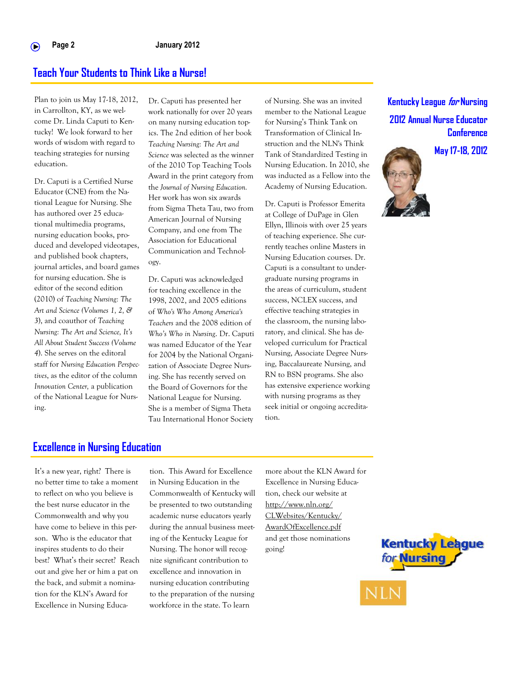## **Teach Your Students to Think Like a Nurse!**

Plan to join us May 17-18, 2012, in Carrollton, KY, as we welcome Dr. Linda Caputi to Kentucky! We look forward to her words of wisdom with regard to teaching strategies for nursing education.

Dr. Caputi is a Certified Nurse Educator (CNE) from the National League for Nursing. She has authored over 25 educational multimedia programs, nursing education books, produced and developed videotapes, and published book chapters, journal articles, and board games for nursing education. She is editor of the second edition (2010) of *Teaching Nursing: The Art and Science (Volumes 1, 2, & 3*), and coauthor of *Teaching Nursing: The Art and Science, It's All About Student Success (Volume 4*). She serves on the editoral staff for *Nursing Education Perspectives*, as the editor of the column *Innovation Center,* a publication of the National League for Nursing.

Dr. Caputi has presented her work nationally for over 20 years on many nursing education topics. The 2nd edition of her book *Teaching Nursing: The Art and Science* was selected as the winner of the 2010 Top Teaching Tools Award in the print category from the *Journal of Nursing Education.*  Her work has won six awards from Sigma Theta Tau, two from American Journal of Nursing Company, and one from The Association for Educational Communication and Technology.

Dr. Caputi was acknowledged for teaching excellence in the 1998, 2002, and 2005 editions of *Who's Who Among America's Teachers* and the 2008 edition of *Who's Who in Nursing*. Dr. Caputi was named Educator of the Year for 2004 by the National Organization of Associate Degree Nursing. She has recently served on the Board of Governors for the National League for Nursing. She is a member of Sigma Theta Tau International Honor Society

of Nursing. She was an invited member to the National League for Nursing's Think Tank on Transformation of Clinical Instruction and the NLN's Think Tank of Standardized Testing in Nursing Education. In 2010, she was inducted as a Fellow into the Academy of Nursing Education.

Dr. Caputi is Professor Emerita at College of DuPage in Glen Ellyn, Illinois with over 25 years of teaching experience. She currently teaches online Masters in Nursing Education courses. Dr. Caputi is a consultant to undergraduate nursing programs in the areas of curriculum, student success, NCLEX success, and effective teaching strategies in the classroom, the nursing laboratory, and clinical. She has developed curriculum for Practical Nursing, Associate Degree Nursing, Baccalaureate Nursing, and RN to BSN programs. She also has extensive experience working with nursing programs as they seek initial or ongoing accreditation.

# **Kentucky League for Nursing 2012 Annual Nurse Educator Conference**

**May 17-18, 2012**



#### **Excellence in Nursing Education**

It's a new year, right? There is no better time to take a moment to reflect on who you believe is the best nurse educator in the Commonwealth and why you have come to believe in this person. Who is the educator that inspires students to do their best? What's their secret? Reach out and give her or him a pat on the back, and submit a nomination for the KLN's Award for Excellence in Nursing Education. This Award for Excellence in Nursing Education in the Commonwealth of Kentucky will be presented to two outstanding academic nurse educators yearly during the annual business meeting of the Kentucky League for Nursing. The honor will recognize significant contribution to excellence and innovation in nursing education contributing to the preparation of the nursing workforce in the state. To learn

more about the KLN Award for Excellence in Nursing Education, check our website at [http://www.nln.org/](http://www.nln.org/CLWebsites/Kentucky/AwardOfExcellence.pdf) [CLWebsites/Kentucky/](http://www.nln.org/CLWebsites/Kentucky/AwardOfExcellence.pdf) [AwardOfExcellence.pdf](http://www.nln.org/CLWebsites/Kentucky/AwardOfExcellence.pdf)  and get those nominations going!

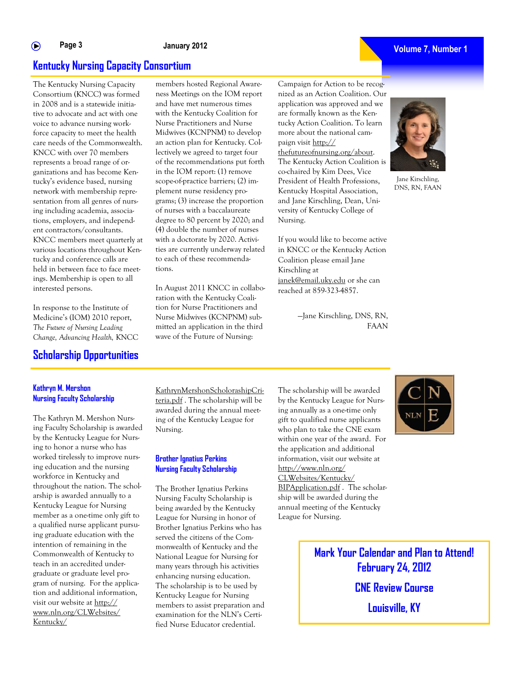members hosted Regional Awareness Meetings on the IOM report and have met numerous times with the Kentucky Coalition for Nurse Practitioners and Nurse Midwives (KCNPNM) to develop an action plan for Kentucky. Collectively we agreed to target four

# **Kentucky Nursing Capacity Consortium**

The Kentucky Nursing Capacity Consortium (KNCC) was formed in 2008 and is a statewide initiative to advocate and act with one voice to advance nursing workforce capacity to meet the health care needs of the Commonwealth. KNCC with over 70 members represents a broad range of organizations and has become Kentucky's evidence based, nursing network with membership representation from all genres of nursing including academia, associations, employers, and independent contractors/consultants. KNCC members meet quarterly at various locations throughout Kentucky and conference calls are held in between face to face meetings. Membership is open to all interested persons.

In response to the Institute of Medicine's (IOM) 2010 report, *The Future of Nursing Leading Change, Advancing Health,* KNCC

### **Scholarship Opportunities**

The Kathryn M. Mershon Nursing Faculty Scholarship is awarded by the Kentucky League for Nursing to honor a nurse who has worked tirelessly to improve nursing education and the nursing workforce in Kentucky and throughout the nation. The scholarship is awarded annually to a Kentucky League for Nursing member as a one-time only gift to a qualified nurse applicant pursuing graduate education with the intention of remaining in the Commonwealth of Kentucky to teach in an accredited undergraduate or graduate level program of nursing. For the application and additional information, visit our website at http:// www.nln.org/CLWebsites/

**Kathryn M. Mershon Nursing Faculty Scholarship**

Kentucky/

of the recommendations put forth in the IOM report: (1) remove scope-of-practice barriers; (2) implement nurse residency programs; (3) increase the proportion of nurses with a baccalaureate degree to 80 percent by 2020; and (4) double the number of nurses with a doctorate by 2020. Activities are currently underway related to each of these recommendations. In August 2011 KNCC in collabo-

ration with the Kentucky Coalition for Nurse Practitioners and Nurse Midwives (KCNPNM) submitted an application in the third wave of the Future of Nursing:

Campaign for Action to be recognized as an Action Coalition. Our application was approved and we are formally known as the Kentucky Action Coalition. To learn more about the national campaign visit [http://](http://thefutureofnursing.org/about) [thefutureofnursing.org/about.](http://thefutureofnursing.org/about)  The Kentucky Action Coalition is co-chaired by Kim Dees, Vice President of Health Professions, Kentucky Hospital Association, and Jane Kirschling, Dean, University of Kentucky College of Nursing.

If you would like to become active in KNCC or the Kentucky Action Coalition please email Jane Kirschling at [janek@email.uky.edu](mailto:janek@email.uky.edu) or she can reached at 859-323-4857.

> —Jane Kirschling, DNS, RN, FAAN

KathrynMershonScholorashipCriteria.pdf . The scholarship will be awarded during the annual meeting of the Kentucky League for

#### **Brother Ignatius Perkins Nursing Faculty Scholarship**

Nursing.

The Brother Ignatius Perkins Nursing Faculty Scholarship is being awarded by the Kentucky League for Nursing in honor of Brother Ignatius Perkins who has served the citizens of the Commonwealth of Kentucky and the National League for Nursing for many years through his activities enhancing nursing education. The scholarship is to be used by Kentucky League for Nursing members to assist preparation and examination for the NLN's Certified Nurse Educator credential.

The scholarship will be awarded by the Kentucky League for Nursing annually as a one-time only gift to qualified nurse applicants who plan to take the CNE exam within one year of the award. For the application and additional information, visit our website at http://www.nln.org/

CLWebsites/Kentucky/ BIPApplication.pdf . The scholarship will be awarded during the annual meeting of the Kentucky League for Nursing.

> **Mark Your Calendar and Plan to Attend! February 24, 2012 CNE Review Course Louisville, KY**







#### **Volume 7, Number 1**